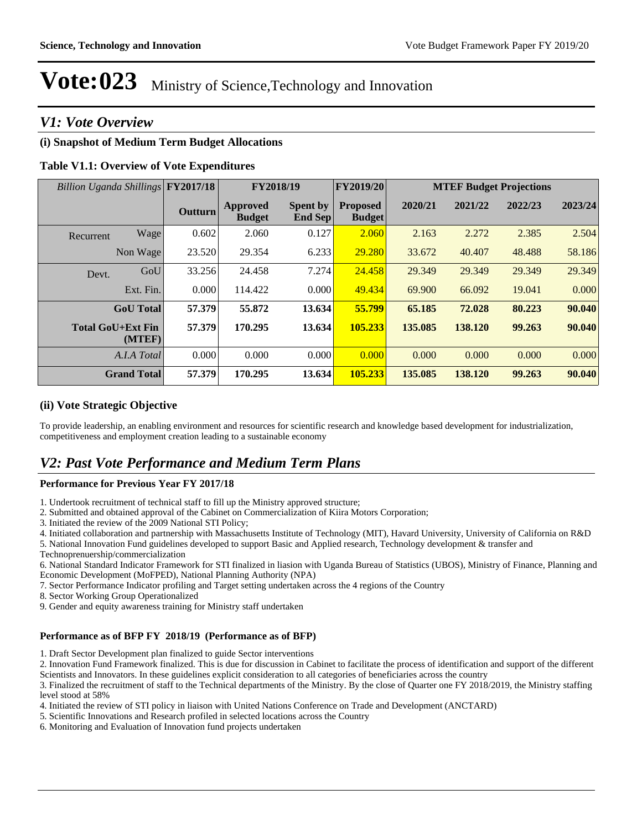## *V1: Vote Overview*

#### **(i) Snapshot of Medium Term Budget Allocations**

#### **Table V1.1: Overview of Vote Expenditures**

| Billion Uganda Shillings FY2017/18 |                    |         | FY2018/19                        |                                   | FY2019/20                        |         |         | <b>MTEF Budget Projections</b> |         |
|------------------------------------|--------------------|---------|----------------------------------|-----------------------------------|----------------------------------|---------|---------|--------------------------------|---------|
|                                    |                    | Outturn | <b>Approved</b><br><b>Budget</b> | <b>Spent by</b><br><b>End Sep</b> | <b>Proposed</b><br><b>Budget</b> | 2020/21 | 2021/22 | 2022/23                        | 2023/24 |
| Recurrent                          | Wage               | 0.602   | 2.060                            | 0.127                             | 2.060                            | 2.163   | 2.272   | 2.385                          | 2.504   |
|                                    | Non Wage           | 23.520  | 29.354                           | 6.233                             | 29.280                           | 33.672  | 40.407  | 48.488                         | 58.186  |
| Devt.                              | GoU                | 33.256  | 24.458                           | 7.274                             | 24.458                           | 29.349  | 29.349  | 29.349                         | 29.349  |
|                                    | Ext. Fin.          | 0.000   | 114.422                          | 0.000                             | 49.434                           | 69.900  | 66.092  | 19.041                         | 0.000   |
|                                    | <b>GoU</b> Total   | 57.379  | 55.872                           | 13.634                            | 55.799                           | 65.185  | 72.028  | 80.223                         | 90.040  |
| <b>Total GoU+Ext Fin</b>           | (MTEF)             | 57.379  | 170.295                          | 13.634                            | 105.233                          | 135.085 | 138.120 | 99.263                         | 90.040  |
|                                    | A.I.A Total        | 0.000   | 0.000                            | 0.000                             | 0.000                            | 0.000   | 0.000   | 0.000                          | 0.000   |
|                                    | <b>Grand Total</b> | 57.379  | 170.295                          | 13.634                            | 105.233                          | 135.085 | 138.120 | 99.263                         | 90.040  |

#### **(ii) Vote Strategic Objective**

To provide leadership, an enabling environment and resources for scientific research and knowledge based development for industrialization, competitiveness and employment creation leading to a sustainable economy

## *V2: Past Vote Performance and Medium Term Plans*

#### **Performance for Previous Year FY 2017/18**

1. Undertook recruitment of technical staff to fill up the Ministry approved structure;

- 2. Submitted and obtained approval of the Cabinet on Commercialization of Kiira Motors Corporation;
- 3. Initiated the review of the 2009 National STI Policy;
- 4. Initiated collaboration and partnership with Massachusetts Institute of Technology (MIT), Havard University, University of California on R&D

5. National Innovation Fund guidelines developed to support Basic and Applied research, Technology development & transfer and

Technoprenuership/commercialization

6. National Standard Indicator Framework for STI finalized in liasion with Uganda Bureau of Statistics (UBOS), Ministry of Finance, Planning and Economic Development (MoFPED), National Planning Authority (NPA)

7. Sector Performance Indicator profiling and Target setting undertaken across the 4 regions of the Country

8. Sector Working Group Operationalized

9. Gender and equity awareness training for Ministry staff undertaken

#### **Performance as of BFP FY 2018/19 (Performance as of BFP)**

1. Draft Sector Development plan finalized to guide Sector interventions

2. Innovation Fund Framework finalized. This is due for discussion in Cabinet to facilitate the process of identification and support of the different Scientists and Innovators. In these guidelines explicit consideration to all categories of beneficiaries across the country

3. Finalized the recruitment of staff to the Technical departments of the Ministry. By the close of Quarter one FY 2018/2019, the Ministry staffing level stood at 58%

4. Initiated the review of STI policy in liaison with United Nations Conference on Trade and Development (ANCTARD)

- 5. Scientific Innovations and Research profiled in selected locations across the Country
- 6. Monitoring and Evaluation of Innovation fund projects undertaken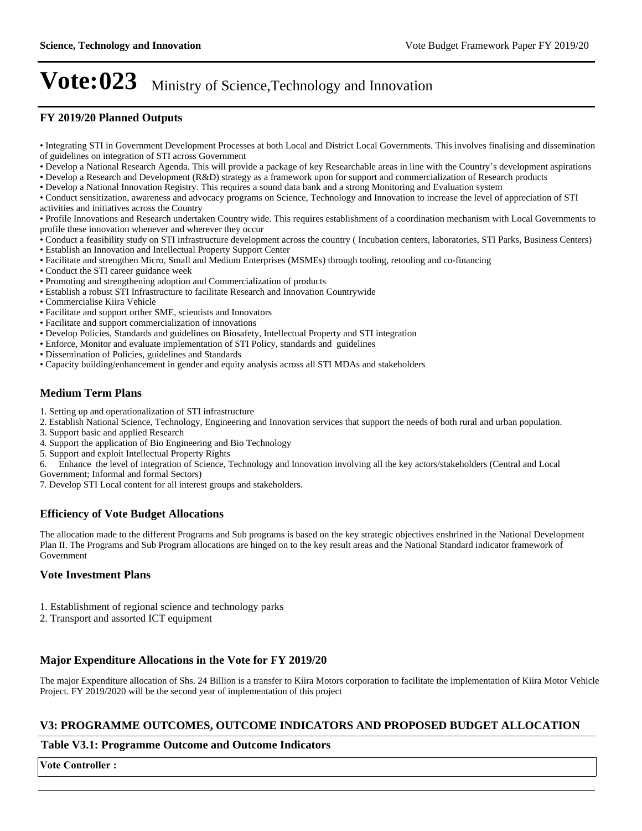#### **FY 2019/20 Planned Outputs**

- Integrating STI in Government Development Processes at both Local and District Local Governments. This involves finalising and dissemination of guidelines on integration of STI across Government
- Develop a National Research Agenda. This will provide a package of key Researchable areas in line with the Country's development aspirations
- Develop a Research and Development (R&D) strategy as a framework upon for support and commercialization of Research products
- Develop a National Innovation Registry. This requires a sound data bank and a strong Monitoring and Evaluation system
- Conduct sensitization, awareness and advocacy programs on Science, Technology and Innovation to increase the level of appreciation of STI activities and initiatives across the Country

Profile Innovations and Research undertaken Country wide. This requires establishment of a coordination mechanism with Local Governments to profile these innovation whenever and wherever they occur

- Conduct a feasibility study on STI infrastructure development across the country ( Incubation centers, laboratories, STI Parks, Business Centers)
- Establish an Innovation and Intellectual Property Support Center
- Facilitate and strengthen Micro, Small and Medium Enterprises (MSMEs) through tooling, retooling and co-financing
- Conduct the STI career guidance week
- Promoting and strengthening adoption and Commercialization of products
- Establish a robust STI Infrastructure to facilitate Research and Innovation Countrywide
- Commercialise Kiira Vehicle
- Facilitate and support orther SME, scientists and Innovators
- Facilitate and support commercialization of innovations
- Develop Policies, Standards and guidelines on Biosafety, Intellectual Property and STI integration
- Enforce, Monitor and evaluate implementation of STI Policy, standards and guidelines
- Dissemination of Policies, guidelines and Standards
- Capacity building/enhancement in gender and equity analysis across all STI MDAs and stakeholders

#### **Medium Term Plans**

- 1. Setting up and operationalization of STI infrastructure
- 2. Establish National Science, Technology, Engineering and Innovation services that support the needs of both rural and urban population.
- 3. Support basic and applied Research
- 4. Support the application of Bio Engineering and Bio Technology
- 5. Support and exploit Intellectual Property Rights
- 6. Enhance the level of integration of Science, Technology and Innovation involving all the key actors/stakeholders (Central and Local
- Government; Informal and formal Sectors)

7. Develop STI Local content for all interest groups and stakeholders.

#### **Efficiency of Vote Budget Allocations**

The allocation made to the different Programs and Sub programs is based on the key strategic objectives enshrined in the National Development Plan II. The Programs and Sub Program allocations are hinged on to the key result areas and the National Standard indicator framework of Government

#### **Vote Investment Plans**

- 1. Establishment of regional science and technology parks
- 2. Transport and assorted ICT equipment

#### **Major Expenditure Allocations in the Vote for FY 2019/20**

The major Expenditure allocation of Shs. 24 Billion is a transfer to Kiira Motors corporation to facilitate the implementation of Kiira Motor Vehicle Project. FY 2019/2020 will be the second year of implementation of this project

#### **V3: PROGRAMME OUTCOMES, OUTCOME INDICATORS AND PROPOSED BUDGET ALLOCATION**

#### **Table V3.1: Programme Outcome and Outcome Indicators**

**Vote Controller:**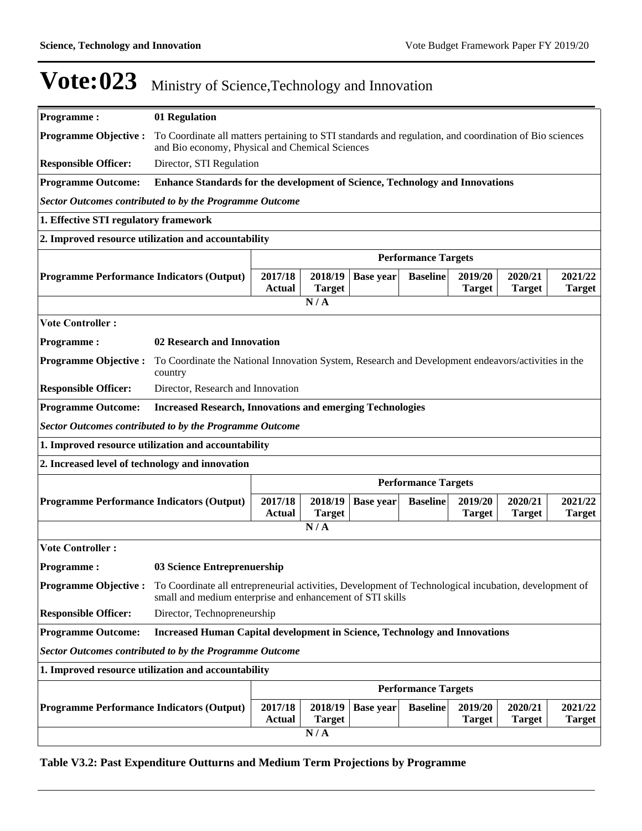| <b>Programme:</b>                                              | 01 Regulation                                                                                                                                                      |                          |                          |                  |                            |                          |                          |                          |
|----------------------------------------------------------------|--------------------------------------------------------------------------------------------------------------------------------------------------------------------|--------------------------|--------------------------|------------------|----------------------------|--------------------------|--------------------------|--------------------------|
|                                                                |                                                                                                                                                                    |                          |                          |                  |                            |                          |                          |                          |
| <b>Programme Objective:</b>                                    | To Coordinate all matters pertaining to STI standards and regulation, and coordination of Bio sciences<br>and Bio economy, Physical and Chemical Sciences          |                          |                          |                  |                            |                          |                          |                          |
| <b>Responsible Officer:</b>                                    |                                                                                                                                                                    | Director, STI Regulation |                          |                  |                            |                          |                          |                          |
| <b>Programme Outcome:</b>                                      | Enhance Standards for the development of Science, Technology and Innovations                                                                                       |                          |                          |                  |                            |                          |                          |                          |
| <b>Sector Outcomes contributed to by the Programme Outcome</b> |                                                                                                                                                                    |                          |                          |                  |                            |                          |                          |                          |
| 1. Effective STI regulatory framework                          |                                                                                                                                                                    |                          |                          |                  |                            |                          |                          |                          |
| 2. Improved resource utilization and accountability            |                                                                                                                                                                    |                          |                          |                  |                            |                          |                          |                          |
|                                                                |                                                                                                                                                                    |                          |                          |                  | <b>Performance Targets</b> |                          |                          |                          |
| <b>Programme Performance Indicators (Output)</b>               |                                                                                                                                                                    | 2017/18<br><b>Actual</b> | 2018/19<br><b>Target</b> | <b>Base year</b> | <b>Baseline</b>            | 2019/20<br><b>Target</b> | 2020/21<br><b>Target</b> | 2021/22<br><b>Target</b> |
|                                                                |                                                                                                                                                                    |                          | N/A                      |                  |                            |                          |                          |                          |
| <b>Vote Controller:</b>                                        |                                                                                                                                                                    |                          |                          |                  |                            |                          |                          |                          |
| <b>Programme:</b>                                              | 02 Research and Innovation                                                                                                                                         |                          |                          |                  |                            |                          |                          |                          |
| <b>Programme Objective:</b>                                    | To Coordinate the National Innovation System, Research and Development endeavors/activities in the<br>country                                                      |                          |                          |                  |                            |                          |                          |                          |
| <b>Responsible Officer:</b>                                    | Director, Research and Innovation                                                                                                                                  |                          |                          |                  |                            |                          |                          |                          |
| <b>Programme Outcome:</b>                                      | <b>Increased Research, Innovations and emerging Technologies</b>                                                                                                   |                          |                          |                  |                            |                          |                          |                          |
| <b>Sector Outcomes contributed to by the Programme Outcome</b> |                                                                                                                                                                    |                          |                          |                  |                            |                          |                          |                          |
| 1. Improved resource utilization and accountability            |                                                                                                                                                                    |                          |                          |                  |                            |                          |                          |                          |
| 2. Increased level of technology and innovation                |                                                                                                                                                                    |                          |                          |                  |                            |                          |                          |                          |
|                                                                |                                                                                                                                                                    |                          |                          |                  | <b>Performance Targets</b> |                          |                          |                          |
| <b>Programme Performance Indicators (Output)</b>               |                                                                                                                                                                    | 2017/18<br>Actual        | 2018/19<br><b>Target</b> | <b>Base year</b> | <b>Baseline</b>            | 2019/20<br><b>Target</b> | 2020/21<br><b>Target</b> | 2021/22<br><b>Target</b> |
|                                                                |                                                                                                                                                                    |                          | N/A                      |                  |                            |                          |                          |                          |
| <b>Vote Controller:</b>                                        |                                                                                                                                                                    |                          |                          |                  |                            |                          |                          |                          |
| <b>Programme:</b>                                              | 03 Science Entreprenuership                                                                                                                                        |                          |                          |                  |                            |                          |                          |                          |
| <b>Programme Objective:</b>                                    | To Coordinate all entrepreneurial activities, Development of Technological incubation, development of<br>small and medium enterprise and enhancement of STI skills |                          |                          |                  |                            |                          |                          |                          |
| <b>Responsible Officer:</b>                                    | Director, Technopreneurship                                                                                                                                        |                          |                          |                  |                            |                          |                          |                          |
| <b>Programme Outcome:</b>                                      | <b>Increased Human Capital development in Science, Technology and Innovations</b>                                                                                  |                          |                          |                  |                            |                          |                          |                          |
| <b>Sector Outcomes contributed to by the Programme Outcome</b> |                                                                                                                                                                    |                          |                          |                  |                            |                          |                          |                          |
| 1. Improved resource utilization and accountability            |                                                                                                                                                                    |                          |                          |                  |                            |                          |                          |                          |
|                                                                |                                                                                                                                                                    |                          |                          |                  | <b>Performance Targets</b> |                          |                          |                          |
| <b>Programme Performance Indicators (Output)</b>               |                                                                                                                                                                    | 2017/18                  | 2018/19                  | <b>Base year</b> | <b>Baseline</b>            | 2019/20                  | 2020/21                  | 2021/22                  |
|                                                                |                                                                                                                                                                    | Actual                   | <b>Target</b>            |                  |                            | <b>Target</b>            | <b>Target</b>            | <b>Target</b>            |
|                                                                |                                                                                                                                                                    |                          | N/A                      |                  |                            |                          |                          |                          |

### **Table V3.2: Past Expenditure Outturns and Medium Term Projections by Programme**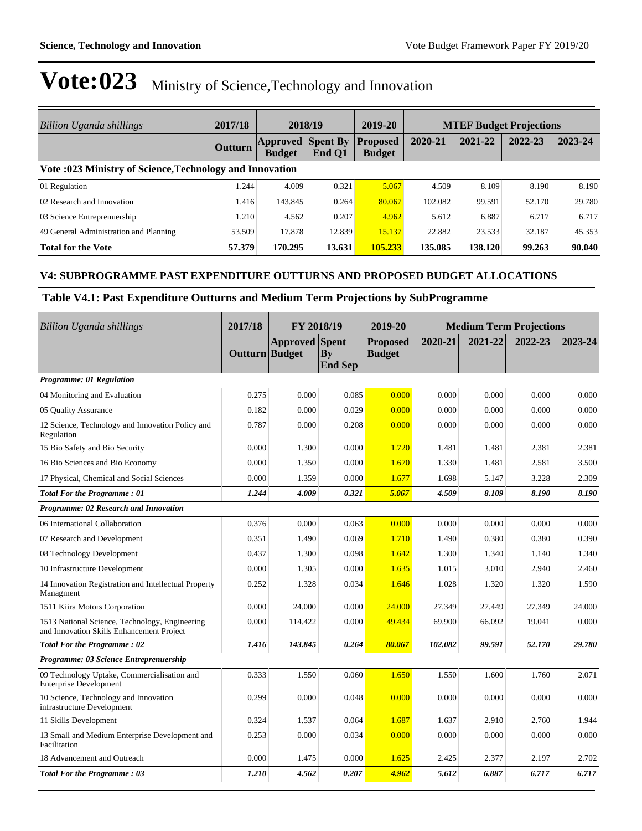| Billion Uganda shillings                                 | 2017/18 | 2018/19                                   |        | 2019-20                          | <b>MTEF Budget Projections</b> |         |         |         |
|----------------------------------------------------------|---------|-------------------------------------------|--------|----------------------------------|--------------------------------|---------|---------|---------|
|                                                          | Outturn | <b>Approved Spent By</b><br><b>Budget</b> | End O1 | <b>Proposed</b><br><b>Budget</b> | 2020-21                        | 2021-22 | 2022-23 | 2023-24 |
| Vote :023 Ministry of Science, Technology and Innovation |         |                                           |        |                                  |                                |         |         |         |
| 01 Regulation                                            | .244    | 4.009                                     | 0.321  | 5.067                            | 4.509                          | 8.109   | 8.190   | 8.190   |
| 02 Research and Innovation                               | 1.416   | 143.845                                   | 0.264  | 80.067                           | 102.082                        | 99.591  | 52.170  | 29.780  |
| 03 Science Entreprenuership                              | 1.210   | 4.562                                     | 0.207  | 4.962                            | 5.612                          | 6.887   | 6.717   | 6.717   |
| 49 General Administration and Planning                   | 53.509  | 17.878                                    | 12.839 | 15.137                           | 22.882                         | 23.533  | 32.187  | 45.353  |
| <b>Total for the Vote</b>                                | 57.379  | 170.295                                   | 13.631 | 105.233                          | 135.085                        | 138.120 | 99.263  | 90.040  |

#### **V4: SUBPROGRAMME PAST EXPENDITURE OUTTURNS AND PROPOSED BUDGET ALLOCATIONS**

### **Table V4.1: Past Expenditure Outturns and Medium Term Projections by SubProgramme**

| <b>Billion Uganda shillings</b>                                                             | 2017/18        | FY 2018/19            |                      | 2019-20                          |         | <b>Medium Term Projections</b> |         |         |
|---------------------------------------------------------------------------------------------|----------------|-----------------------|----------------------|----------------------------------|---------|--------------------------------|---------|---------|
|                                                                                             | Outturn Budget | <b>Approved</b> Spent | Bv<br><b>End Sep</b> | <b>Proposed</b><br><b>Budget</b> | 2020-21 | 2021-22                        | 2022-23 | 2023-24 |
| Programme: 01 Regulation                                                                    |                |                       |                      |                                  |         |                                |         |         |
| 04 Monitoring and Evaluation                                                                | 0.275          | 0.000                 | 0.085                | 0.000                            | 0.000   | 0.000                          | 0.000   | 0.000   |
| 05 Quality Assurance                                                                        | 0.182          | 0.000                 | 0.029                | 0.000                            | 0.000   | 0.000                          | 0.000   | 0.000   |
| 12 Science, Technology and Innovation Policy and<br>Regulation                              | 0.787          | 0.000                 | 0.208                | 0.000                            | 0.000   | 0.000                          | 0.000   | 0.000   |
| 15 Bio Safety and Bio Security                                                              | 0.000          | 1.300                 | 0.000                | 1.720                            | 1.481   | 1.481                          | 2.381   | 2.381   |
| 16 Bio Sciences and Bio Economy                                                             | 0.000          | 1.350                 | 0.000                | 1.670                            | 1.330   | 1.481                          | 2.581   | 3.500   |
| 17 Physical, Chemical and Social Sciences                                                   | 0.000          | 1.359                 | 0.000                | 1.677                            | 1.698   | 5.147                          | 3.228   | 2.309   |
| <b>Total For the Programme: 01</b>                                                          | 1.244          | 4.009                 | 0.321                | 5.067                            | 4.509   | 8.109                          | 8.190   | 8.190   |
| Programme: 02 Research and Innovation                                                       |                |                       |                      |                                  |         |                                |         |         |
| 06 International Collaboration                                                              | 0.376          | 0.000                 | 0.063                | 0.000                            | 0.000   | 0.000                          | 0.000   | 0.000   |
| 07 Research and Development                                                                 | 0.351          | 1.490                 | 0.069                | 1.710                            | 1.490   | 0.380                          | 0.380   | 0.390   |
| 08 Technology Development                                                                   | 0.437          | 1.300                 | 0.098                | 1.642                            | 1.300   | 1.340                          | 1.140   | 1.340   |
| 10 Infrastructure Development                                                               | 0.000          | 1.305                 | 0.000                | 1.635                            | 1.015   | 3.010                          | 2.940   | 2.460   |
| 14 Innovation Registration and Intellectual Property<br>Managment                           | 0.252          | 1.328                 | 0.034                | 1.646                            | 1.028   | 1.320                          | 1.320   | 1.590   |
| 1511 Kiira Motors Corporation                                                               | 0.000          | 24.000                | 0.000                | 24,000                           | 27.349  | 27.449                         | 27.349  | 24.000  |
| 1513 National Science, Technology, Engineering<br>and Innovation Skills Enhancement Project | 0.000          | 114.422               | 0.000                | 49.434                           | 69.900  | 66.092                         | 19.041  | 0.000   |
| <b>Total For the Programme: 02</b>                                                          | 1.416          | 143.845               | 0.264                | 80.067                           | 102.082 | 99.591                         | 52.170  | 29.780  |
| Programme: 03 Science Entreprenuership                                                      |                |                       |                      |                                  |         |                                |         |         |
| 09 Technology Uptake, Commercialisation and<br><b>Enterprise Development</b>                | 0.333          | 1.550                 | 0.060                | 1.650                            | 1.550   | 1.600                          | 1.760   | 2.071   |
| 10 Science, Technology and Innovation<br>infrastructure Development                         | 0.299          | 0.000                 | 0.048                | 0.000                            | 0.000   | 0.000                          | 0.000   | 0.000   |
| 11 Skills Development                                                                       | 0.324          | 1.537                 | 0.064                | 1.687                            | 1.637   | 2.910                          | 2.760   | 1.944   |
| 13 Small and Medium Enterprise Development and<br>Facilitation                              | 0.253          | 0.000                 | 0.034                | 0.000                            | 0.000   | 0.000                          | 0.000   | 0.000   |
| 18 Advancement and Outreach                                                                 | 0.000          | 1.475                 | 0.000                | 1.625                            | 2.425   | 2.377                          | 2.197   | 2.702   |
| <b>Total For the Programme: 03</b>                                                          | 1.210          | 4.562                 | 0.207                | 4.962                            | 5.612   | 6.887                          | 6.717   | 6.717   |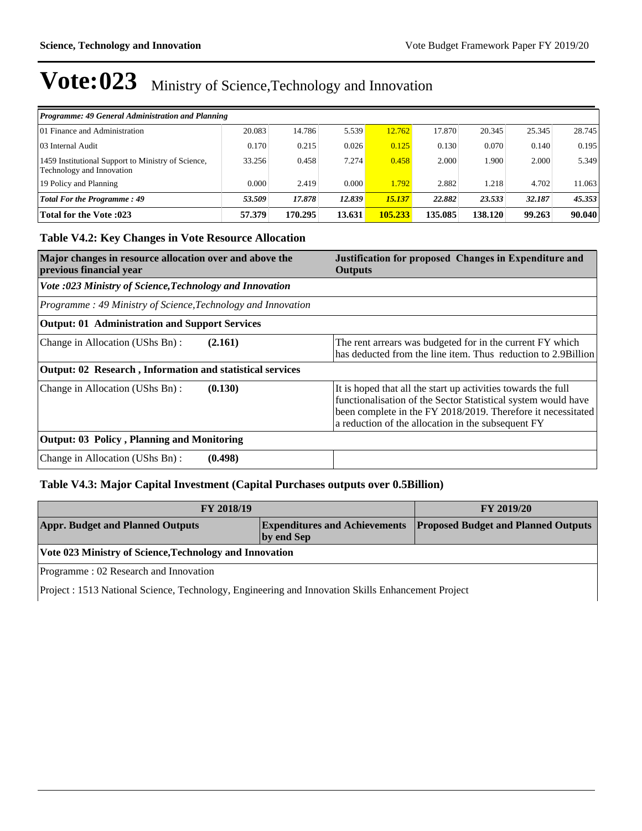| Programme: 49 General Administration and Planning                               |        |         |        |         |         |         |        |        |
|---------------------------------------------------------------------------------|--------|---------|--------|---------|---------|---------|--------|--------|
| 101 Finance and Administration                                                  | 20.083 | 14.786  | 5.539  | 12.762  | 17.870  | 20.345  | 25.345 | 28.745 |
| 03 Internal Audit                                                               | 0.170  | 0.215   | 0.026  | 0.125   | 0.130   | 0.070   | 0.140  | 0.195  |
| 1459 Institutional Support to Ministry of Science,<br>Technology and Innovation | 33.256 | 0.458   | 7.274  | 0.458   | 2.000   | 1.900   | 2.000  | 5.349  |
| 19 Policy and Planning                                                          | 0.000  | 2.419   | 0.000  | 1.792   | 2.882   | 1.218   | 4.702  | 11.063 |
| Total For the Programme: 49                                                     | 53.509 | 17.878  | 12.839 | 15.137  | 22.882  | 23.533  | 32.187 | 45.353 |
| <b>Total for the Vote :023</b>                                                  | 57.379 | 170.295 | 13.631 | 105.233 | 135.085 | 138.120 | 99.263 | 90.040 |

### **Table V4.2: Key Changes in Vote Resource Allocation**

| Major changes in resource allocation over and above the<br>previous financial year | Justification for proposed Changes in Expenditure and<br><b>Outputs</b>                                                                                                                                                                              |
|------------------------------------------------------------------------------------|------------------------------------------------------------------------------------------------------------------------------------------------------------------------------------------------------------------------------------------------------|
| Vote :023 Ministry of Science, Technology and Innovation                           |                                                                                                                                                                                                                                                      |
| Programme: 49 Ministry of Science, Technology and Innovation                       |                                                                                                                                                                                                                                                      |
| <b>Output: 01 Administration and Support Services</b>                              |                                                                                                                                                                                                                                                      |
| (2.161)<br>Change in Allocation (UShs Bn):                                         | The rent arrears was budgeted for in the current FY which<br>has deducted from the line item. Thus reduction to 2.9Billion                                                                                                                           |
| <b>Output: 02 Research, Information and statistical services</b>                   |                                                                                                                                                                                                                                                      |
| Change in Allocation (UShs Bn):<br>(0.130)                                         | It is hoped that all the start up activities towards the full<br>functionalisation of the Sector Statistical system would have<br>been complete in the FY 2018/2019. Therefore it necessitated<br>a reduction of the allocation in the subsequent FY |
| <b>Output: 03 Policy, Planning and Monitoring</b>                                  |                                                                                                                                                                                                                                                      |
| (0.498)<br>Change in Allocation (UShs Bn):                                         |                                                                                                                                                                                                                                                      |

### **Table V4.3: Major Capital Investment (Capital Purchases outputs over 0.5Billion)**

| <b>FY 2018/19</b>                                       | <b>FY 2019/20</b> |                                                                          |  |  |  |
|---------------------------------------------------------|-------------------|--------------------------------------------------------------------------|--|--|--|
| <b>Appr. Budget and Planned Outputs</b>                 | by end Sep        | <b>Expenditures and Achievements Proposed Budget and Planned Outputs</b> |  |  |  |
| Vote 023 Ministry of Science, Technology and Innovation |                   |                                                                          |  |  |  |
| Programme: 02 Research and Innovation                   |                   |                                                                          |  |  |  |

Project : 1513 National Science, Technology, Engineering and Innovation Skills Enhancement Project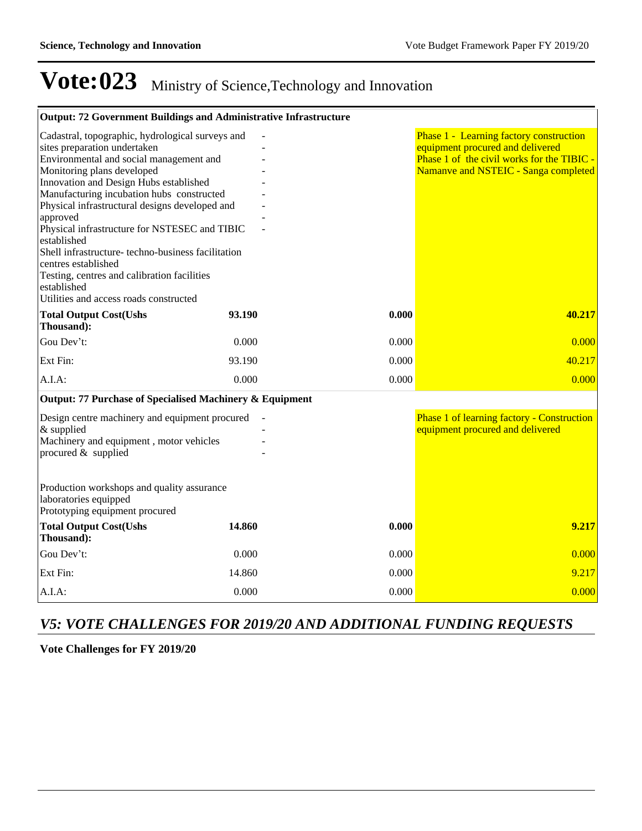| Output: 72 Government Buildings and Administrative Infrastructure                                                                                                                                                                                                                                                                                                                                                                                                                                                                                                  |        |       |                                                                                                                                                                   |
|--------------------------------------------------------------------------------------------------------------------------------------------------------------------------------------------------------------------------------------------------------------------------------------------------------------------------------------------------------------------------------------------------------------------------------------------------------------------------------------------------------------------------------------------------------------------|--------|-------|-------------------------------------------------------------------------------------------------------------------------------------------------------------------|
| Cadastral, topographic, hydrological surveys and<br>sites preparation undertaken<br>Environmental and social management and<br>Monitoring plans developed<br>Innovation and Design Hubs established<br>Manufacturing incubation hubs constructed<br>Physical infrastructural designs developed and<br>approved<br>Physical infrastructure for NSTESEC and TIBIC<br>established<br>Shell infrastructure-techno-business facilitation<br>centres established<br>Testing, centres and calibration facilities<br>established<br>Utilities and access roads constructed |        |       | Phase 1 - Learning factory construction<br>equipment procured and delivered<br>Phase 1 of the civil works for the TIBIC -<br>Namanve and NSTEIC - Sanga completed |
| <b>Total Output Cost(Ushs</b><br>Thousand):                                                                                                                                                                                                                                                                                                                                                                                                                                                                                                                        | 93.190 | 0.000 | 40.217                                                                                                                                                            |
| Gou Dev't:                                                                                                                                                                                                                                                                                                                                                                                                                                                                                                                                                         | 0.000  | 0.000 | 0.000                                                                                                                                                             |
| Ext Fin:                                                                                                                                                                                                                                                                                                                                                                                                                                                                                                                                                           | 93.190 | 0.000 | 40.217                                                                                                                                                            |
| $A.I.A$ :                                                                                                                                                                                                                                                                                                                                                                                                                                                                                                                                                          | 0.000  | 0.000 | 0.000                                                                                                                                                             |
| Output: 77 Purchase of Specialised Machinery & Equipment                                                                                                                                                                                                                                                                                                                                                                                                                                                                                                           |        |       |                                                                                                                                                                   |
| Design centre machinery and equipment procured<br>$&$ supplied<br>Machinery and equipment, motor vehicles<br>procured $&$ supplied                                                                                                                                                                                                                                                                                                                                                                                                                                 |        |       | Phase 1 of learning factory - Construction<br>equipment procured and delivered                                                                                    |
| Production workshops and quality assurance<br>laboratories equipped<br>Prototyping equipment procured                                                                                                                                                                                                                                                                                                                                                                                                                                                              |        |       |                                                                                                                                                                   |
| <b>Total Output Cost(Ushs</b><br>Thousand):                                                                                                                                                                                                                                                                                                                                                                                                                                                                                                                        | 14.860 | 0.000 | 9.217                                                                                                                                                             |
| Gou Dev't:                                                                                                                                                                                                                                                                                                                                                                                                                                                                                                                                                         | 0.000  | 0.000 | 0.000                                                                                                                                                             |
| Ext Fin:                                                                                                                                                                                                                                                                                                                                                                                                                                                                                                                                                           | 14.860 | 0.000 | 9.217                                                                                                                                                             |
| $A.I.A$ :                                                                                                                                                                                                                                                                                                                                                                                                                                                                                                                                                          | 0.000  | 0.000 | 0.000                                                                                                                                                             |

## *V5: VOTE CHALLENGES FOR 2019/20 AND ADDITIONAL FUNDING REQUESTS*

**Vote Challenges for FY 2019/20**